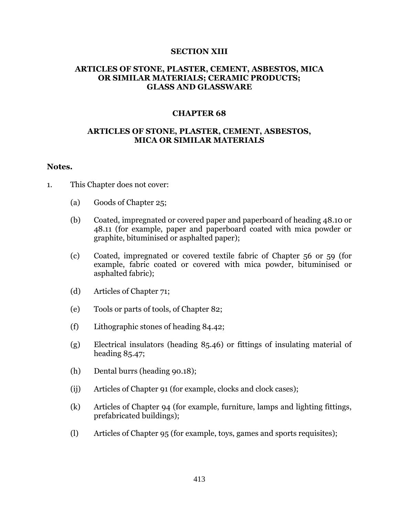## **SECTION XIII**

# **ARTICLES OF STONE, PLASTER, CEMENT, ASBESTOS, MICA OR SIMILAR MATERIALS; CERAMIC PRODUCTS; GLASS AND GLASSWARE**

## **CHAPTER 68**

# **ARTICLES OF STONE, PLASTER, CEMENT, ASBESTOS, MICA OR SIMILAR MATERIALS**

## **Notes.**

- 1. This Chapter does not cover:
	- (a) Goods of Chapter 25;
	- (b) Coated, impregnated or covered paper and paperboard of heading 48.10 or 48.11 (for example, paper and paperboard coated with mica powder or graphite, bituminised or asphalted paper);
	- (c) Coated, impregnated or covered textile fabric of Chapter 56 or 59 (for example, fabric coated or covered with mica powder, bituminised or asphalted fabric);
	- (d) Articles of Chapter 71;
	- (e) Tools or parts of tools, of Chapter 82;
	- (f) Lithographic stones of heading 84.42;
	- (g) Electrical insulators (heading 85.46) or fittings of insulating material of heading 85.47;
	- (h) Dental burrs (heading 90.18);
	- (ij) Articles of Chapter 91 (for example, clocks and clock cases);
	- (k) Articles of Chapter 94 (for example, furniture, lamps and lighting fittings, prefabricated buildings);
	- (l) Articles of Chapter 95 (for example, toys, games and sports requisites);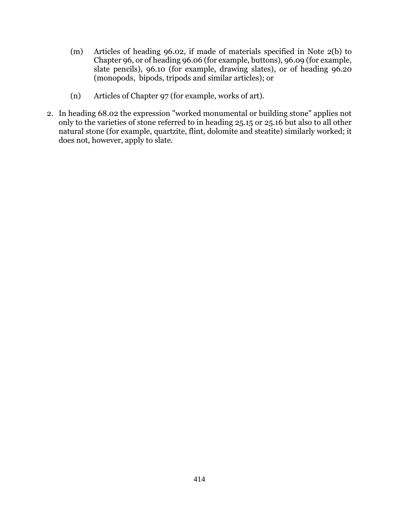- (m) Articles of heading 96.02, if made of materials specified in Note 2(b) to Chapter 96, or of heading 96.06 (for example, buttons), 96.09 (for example, slate pencils), 96.10 (for example, drawing slates), or of heading 96.20 (monopods, bipods, tripods and similar articles); or
- (n) Articles of Chapter 97 (for example, works of art).
- 2. In heading 68.02 the expression "worked monumental or building stone" applies not only to the varieties of stone referred to in heading 25.15 or 25.16 but also to all other natural stone (for example, quartzite, flint, dolomite and steatite) similarly worked; it does not, however, apply to slate.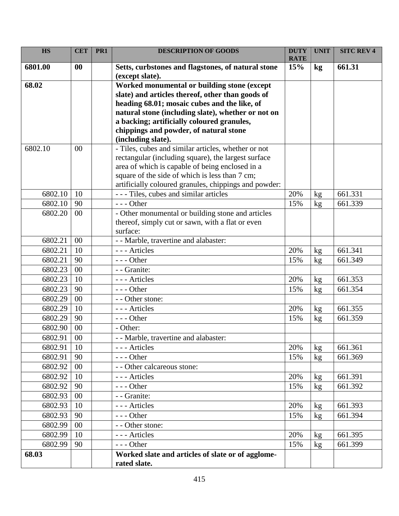| <b>HS</b> | <b>CET</b> | PR1 | <b>DESCRIPTION OF GOODS</b>                                                                       | <b>DUTY</b><br><b>RATE</b> | <b>UNIT</b> | <b>SITC REV 4</b> |
|-----------|------------|-----|---------------------------------------------------------------------------------------------------|----------------------------|-------------|-------------------|
| 6801.00   | $\bf{00}$  |     | Setts, curbstones and flagstones, of natural stone<br>(except slate).                             | 15%                        | kg          | 661.31            |
| 68.02     |            |     | Worked monumental or building stone (except                                                       |                            |             |                   |
|           |            |     | slate) and articles thereof, other than goods of                                                  |                            |             |                   |
|           |            |     | heading 68.01; mosaic cubes and the like, of                                                      |                            |             |                   |
|           |            |     | natural stone (including slate), whether or not on                                                |                            |             |                   |
|           |            |     | a backing; artificially coloured granules,                                                        |                            |             |                   |
|           |            |     | chippings and powder, of natural stone                                                            |                            |             |                   |
|           |            |     | (including slate).                                                                                |                            |             |                   |
| 6802.10   | 00         |     | - Tiles, cubes and similar articles, whether or not                                               |                            |             |                   |
|           |            |     | rectangular (including square), the largest surface                                               |                            |             |                   |
|           |            |     | area of which is capable of being enclosed in a<br>square of the side of which is less than 7 cm; |                            |             |                   |
|           |            |     | artificially coloured granules, chippings and powder:                                             |                            |             |                   |
| 6802.10   | 10         |     | --- Tiles, cubes and similar articles                                                             | 20%                        | kg          | 661.331           |
| 6802.10   | 90         |     | $--$ Other                                                                                        | 15%                        | kg          | 661.339           |
| 6802.20   | 00         |     | - Other monumental or building stone and articles                                                 |                            |             |                   |
|           |            |     | thereof, simply cut or sawn, with a flat or even                                                  |                            |             |                   |
|           |            |     | surface:                                                                                          |                            |             |                   |
| 6802.21   | 00         |     | - - Marble, travertine and alabaster:                                                             |                            |             |                   |
| 6802.21   | 10         |     | --- Articles                                                                                      | 20%                        | kg          | 661.341           |
| 6802.21   | 90         |     | $---$ Other                                                                                       | 15%                        | kg          | 661.349           |
| 6802.23   | 00         |     | - - Granite:                                                                                      |                            |             |                   |
| 6802.23   | 10         |     | --- Articles                                                                                      | 20%                        | kg          | 661.353           |
| 6802.23   | 90         |     | $--$ Other                                                                                        | 15%                        | kg          | 661.354           |
| 6802.29   | 00         |     | - - Other stone:                                                                                  |                            |             |                   |
| 6802.29   | 10         |     | --- Articles                                                                                      | 20%                        | kg          | 661.355           |
| 6802.29   | 90         |     | $--$ Other                                                                                        | 15%                        | kg          | 661.359           |
| 6802.90   | 00         |     | - Other:                                                                                          |                            |             |                   |
| 6802.91   | $00\,$     |     | - - Marble, travertine and alabaster:                                                             |                            |             |                   |
| 6802.91   | 10         |     | --- Articles                                                                                      | 20%                        | kg          | 661.361           |
| 6802.91   | 90         |     | $---$ Other                                                                                       | 15%                        | kg          | 661.369           |
| 6802.92   | 00         |     | - - Other calcareous stone:                                                                       |                            |             |                   |
| 6802.92   | 10         |     | --- Articles                                                                                      | 20%                        | kg          | 661.391           |
| 6802.92   | 90         |     | $--$ Other                                                                                        | 15%                        | kg          | 661.392           |
| 6802.93   | 00         |     | - - Granite:                                                                                      |                            |             |                   |
| 6802.93   | 10         |     | --- Articles                                                                                      | 20%                        | kg          | 661.393           |
| 6802.93   | 90         |     | $--$ Other                                                                                        | 15%                        | kg          | 661.394           |
| 6802.99   | 00         |     | - - Other stone:                                                                                  |                            |             |                   |
| 6802.99   | 10         |     | --- Articles                                                                                      | 20%                        | kg          | 661.395           |
| 6802.99   | 90         |     | $--$ Other                                                                                        | 15%                        | kg          | 661.399           |
| 68.03     |            |     | Worked slate and articles of slate or of agglome-                                                 |                            |             |                   |
|           |            |     | rated slate.                                                                                      |                            |             |                   |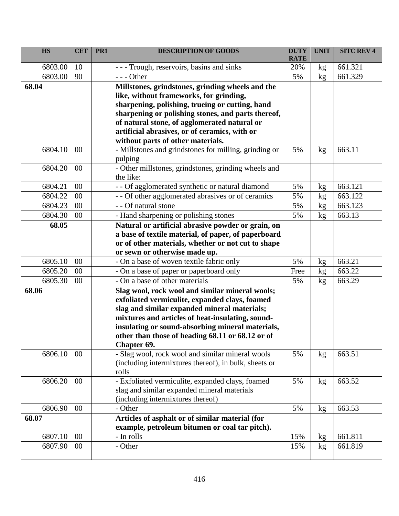| <b>HS</b>        | <b>CET</b> | PR <sub>1</sub> | <b>DESCRIPTION OF GOODS</b>                                                                                                                                                                                                                                                                                                                                                                         | <b>DUTY</b><br><b>RATE</b> | <b>UNIT</b> | <b>SITC REV 4</b> |
|------------------|------------|-----------------|-----------------------------------------------------------------------------------------------------------------------------------------------------------------------------------------------------------------------------------------------------------------------------------------------------------------------------------------------------------------------------------------------------|----------------------------|-------------|-------------------|
| 6803.00          | 10         |                 | - - - Trough, reservoirs, basins and sinks                                                                                                                                                                                                                                                                                                                                                          | 20%                        | kg          | 661.321           |
| 6803.00          | 90         |                 | $--$ Other                                                                                                                                                                                                                                                                                                                                                                                          | 5%                         | kg          | 661.329           |
| 68.04<br>6804.10 | 00         |                 | Millstones, grindstones, grinding wheels and the<br>like, without frameworks, for grinding,<br>sharpening, polishing, trueing or cutting, hand<br>sharpening or polishing stones, and parts thereof,<br>of natural stone, of agglomerated natural or<br>artificial abrasives, or of ceramics, with or<br>without parts of other materials.<br>- Millstones and grindstones for milling, grinding or | 5%                         | kg          | 663.11            |
| 6804.20          | 00         |                 | pulping<br>- Other millstones, grindstones, grinding wheels and<br>the like:                                                                                                                                                                                                                                                                                                                        |                            |             |                   |
| 6804.21          | $00\,$     |                 | - - Of agglomerated synthetic or natural diamond                                                                                                                                                                                                                                                                                                                                                    | 5%                         | kg          | 663.121           |
| 6804.22          | 00         |                 | - - Of other agglomerated abrasives or of ceramics                                                                                                                                                                                                                                                                                                                                                  | 5%                         | kg          | 663.122           |
| 6804.23          | 00         |                 | - - Of natural stone                                                                                                                                                                                                                                                                                                                                                                                | 5%                         | kg          | 663.123           |
| 6804.30          | 00         |                 | - Hand sharpening or polishing stones                                                                                                                                                                                                                                                                                                                                                               | 5%                         | kg          | 663.13            |
| 68.05            |            |                 | Natural or artificial abrasive powder or grain, on<br>a base of textile material, of paper, of paperboard<br>or of other materials, whether or not cut to shape<br>or sewn or otherwise made up.                                                                                                                                                                                                    |                            |             |                   |
| 6805.10          | $00\,$     |                 | - On a base of woven textile fabric only                                                                                                                                                                                                                                                                                                                                                            | 5%                         | kg          | 663.21            |
| 6805.20          | 00         |                 | - On a base of paper or paperboard only                                                                                                                                                                                                                                                                                                                                                             | Free                       | kg          | 663.22            |
| 6805.30          | 00         |                 | - On a base of other materials                                                                                                                                                                                                                                                                                                                                                                      | 5%                         | kg          | 663.29            |
| 68.06            |            |                 | Slag wool, rock wool and similar mineral wools;<br>exfoliated vermiculite, expanded clays, foamed<br>slag and similar expanded mineral materials;<br>mixtures and articles of heat-insulating, sound-<br>insulating or sound-absorbing mineral materials,<br>other than those of heading 68.11 or 68.12 or of<br>Chapter 69.                                                                        |                            |             |                   |
| 6806.10          | 00         |                 | - Slag wool, rock wool and similar mineral wools<br>(including intermixtures thereof), in bulk, sheets or<br>rolls                                                                                                                                                                                                                                                                                  | 5%                         | kg          | 663.51            |
| 6806.20          | 00         |                 | - Exfoliated vermiculite, expanded clays, foamed<br>slag and similar expanded mineral materials<br>(including intermixtures thereof)                                                                                                                                                                                                                                                                | 5%                         | kg          | 663.52            |
| 6806.90          | 00         |                 | - Other                                                                                                                                                                                                                                                                                                                                                                                             | 5%                         | kg          | 663.53            |
| 68.07            |            |                 | Articles of asphalt or of similar material (for<br>example, petroleum bitumen or coal tar pitch).                                                                                                                                                                                                                                                                                                   |                            |             |                   |
| 6807.10          | 00         |                 | - In rolls                                                                                                                                                                                                                                                                                                                                                                                          | 15%                        | kg          | 661.811           |
| 6807.90          | 00         |                 | - Other                                                                                                                                                                                                                                                                                                                                                                                             | 15%                        | kg          | 661.819           |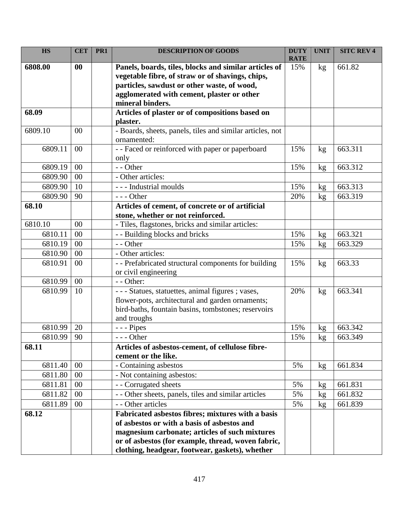| <b>HS</b> | <b>CET</b> | PR1 | <b>DESCRIPTION OF GOODS</b>                                                                      | <b>DUTY</b><br><b>RATE</b> | <b>UNIT</b> | <b>SITC REV 4</b> |
|-----------|------------|-----|--------------------------------------------------------------------------------------------------|----------------------------|-------------|-------------------|
| 6808.00   | 00         |     | Panels, boards, tiles, blocks and similar articles of                                            | 15%                        | kg          | 661.82            |
|           |            |     | vegetable fibre, of straw or of shavings, chips,                                                 |                            |             |                   |
|           |            |     | particles, sawdust or other waste, of wood,                                                      |                            |             |                   |
|           |            |     | agglomerated with cement, plaster or other                                                       |                            |             |                   |
|           |            |     | mineral binders.                                                                                 |                            |             |                   |
| 68.09     |            |     | Articles of plaster or of compositions based on                                                  |                            |             |                   |
| 6809.10   | $00\,$     |     | plaster.                                                                                         |                            |             |                   |
|           |            |     | - Boards, sheets, panels, tiles and similar articles, not<br>ornamented:                         |                            |             |                   |
| 6809.11   | 00         |     | - - Faced or reinforced with paper or paperboard                                                 | 15%                        | kg          | 663.311           |
|           |            |     | only                                                                                             |                            |             |                   |
| 6809.19   | 00         |     | - - Other                                                                                        | 15%                        | kg          | 663.312           |
| 6809.90   | 00         |     | - Other articles:                                                                                |                            |             |                   |
| 6809.90   | 10         |     | --- Industrial moulds                                                                            | 15%                        | kg          | 663.313           |
| 6809.90   | 90         |     | $--$ Other                                                                                       | 20%                        | kg          | 663.319           |
| 68.10     |            |     | Articles of cement, of concrete or of artificial                                                 |                            |             |                   |
|           |            |     | stone, whether or not reinforced.                                                                |                            |             |                   |
| 6810.10   | 00         |     | - Tiles, flagstones, bricks and similar articles:                                                |                            |             |                   |
| 6810.11   | 00         |     | - - Building blocks and bricks                                                                   | 15%                        | kg          | 663.321           |
| 6810.19   | 00         |     | - - Other                                                                                        | 15%                        | kg          | 663.329           |
| 6810.90   | 00         |     | - Other articles:                                                                                |                            |             |                   |
| 6810.91   | 00         |     | - - Prefabricated structural components for building                                             | 15%                        | kg          | 663.33            |
|           |            |     | or civil engineering                                                                             |                            |             |                   |
| 6810.99   | 00         |     | - - Other:                                                                                       |                            |             |                   |
| 6810.99   | 10         |     | --- Statues, statuettes, animal figures ; vases,                                                 | 20%                        | kg          | 663.341           |
|           |            |     | flower-pots, architectural and garden ornaments;                                                 |                            |             |                   |
|           |            |     | bird-baths, fountain basins, tombstones; reservoirs                                              |                            |             |                   |
|           |            |     | and troughs                                                                                      |                            |             |                   |
| 6810.99   | 20         |     | - - - Pipes                                                                                      | 15%                        | kg          | 663.342           |
| 6810.99   | 90         |     | - - Other                                                                                        | 15%                        | kg          | 663.349           |
| 68.11     |            |     | Articles of asbestos-cement, of cellulose fibre-                                                 |                            |             |                   |
|           |            |     | cement or the like.                                                                              |                            |             |                   |
| 6811.40   | 00         |     | - Containing asbestos                                                                            | 5%                         | kg          | 661.834           |
| 6811.80   | 00         |     | - Not containing asbestos:                                                                       |                            |             |                   |
| 6811.81   | 00         |     | - - Corrugated sheets                                                                            | 5%                         | kg          | 661.831           |
| 6811.82   | 00         |     | - - Other sheets, panels, tiles and similar articles                                             | 5%                         | kg          | 661.832           |
| 6811.89   | 00         |     | - - Other articles                                                                               | 5%                         | kg          | 661.839           |
| 68.12     |            |     | Fabricated asbestos fibres; mixtures with a basis<br>of asbestos or with a basis of asbestos and |                            |             |                   |
|           |            |     | magnesium carbonate; articles of such mixtures                                                   |                            |             |                   |
|           |            |     | or of asbestos (for example, thread, woven fabric,                                               |                            |             |                   |
|           |            |     | clothing, headgear, footwear, gaskets), whether                                                  |                            |             |                   |